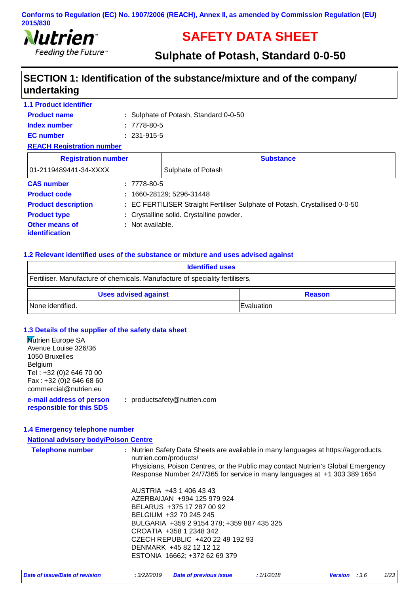

# **SAFETY DATA SHEET**

# **Sulphate of Potash, Standard 0-0-50**

### **SECTION 1: Identification of the substance/mixture and of the company/ undertaking**

#### **1.1 Product identifier**

| <b>Product name</b> | : Sulphate of Potash, Standard 0-0-50 |
|---------------------|---------------------------------------|
| Index number        | $: 7778-80-5$                         |
| <b>EC</b> number    | $: 231 - 915 - 5$                     |
|                     |                                       |

#### **REACH Registration number**

| <b>Registration number</b>              |                                          | <b>Substance</b>                                                            |
|-----------------------------------------|------------------------------------------|-----------------------------------------------------------------------------|
| 01-2119489441-34-XXXX                   | Sulphate of Potash                       |                                                                             |
| <b>CAS number</b>                       | $: 7778-80-5$                            |                                                                             |
| <b>Product code</b>                     | $: 1660 - 28129; 5296 - 31448$           |                                                                             |
| <b>Product description</b>              |                                          | : EC FERTILISER Straight Fertiliser Sulphate of Potash, Crystallised 0-0-50 |
| <b>Product type</b>                     | : Crystalline solid. Crystalline powder. |                                                                             |
| <b>Other means of</b><br>identification | : Not available.                         |                                                                             |

#### **1.2 Relevant identified uses of the substance or mixture and uses advised against**

| <b>Identified uses</b>                                                       |               |
|------------------------------------------------------------------------------|---------------|
| Fertiliser. Manufacture of chemicals. Manufacture of speciality fertilisers. |               |
| <b>Uses advised against</b>                                                  | <b>Reason</b> |
| None identified.                                                             | Evaluation    |

#### **1.3 Details of the supplier of the safety data sheet**

| : productsafety@nutrien.com |
|-----------------------------|
|                             |

#### **1.4 Emergency telephone number**

| <b>National advisory body/Poison Centre</b> |                                                                                                                                                                                                                            |  |
|---------------------------------------------|----------------------------------------------------------------------------------------------------------------------------------------------------------------------------------------------------------------------------|--|
| <b>Telephone number</b>                     | : Nutrien Safety Data Sheets are available in many languages at https://agproducts.<br>nutrien.com/products/                                                                                                               |  |
|                                             | Physicians, Poison Centres, or the Public may contact Nutrien's Global Emergency<br>Response Number 24/7/365 for service in many languages at +1 303 389 1654                                                              |  |
|                                             | AUSTRIA +43 1 406 43 43<br>AZERBAIJAN +994 125 979 924<br>BELARUS +375 17 287 00 92<br>BELGIUM +32 70 245 245<br>BULGARIA +359 2 9154 378; +359 887 435 325<br>CROATIA +358 1 2348 342<br>CZECH REPUBLIC +420 22 49 192 93 |  |
|                                             | DENMARK +45 82 12 12 12<br>ESTONIA 16662; +372 62 69 379                                                                                                                                                                   |  |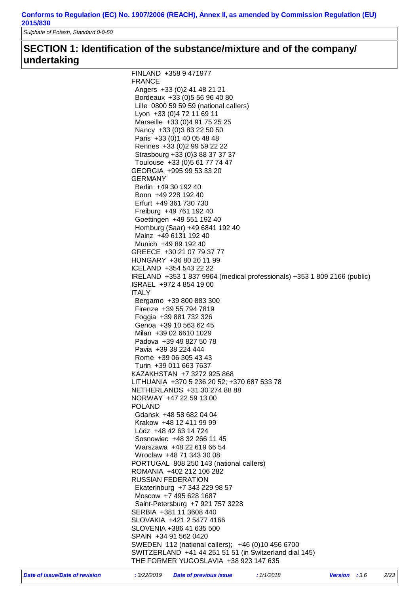*Sulphate of Potash, Standard 0-0-50*

### **SECTION 1: Identification of the substance/mixture and of the company/ undertaking**

| FINLAND +358 9 471977                                                    |
|--------------------------------------------------------------------------|
| <b>FRANCE</b>                                                            |
| Angers +33 (0) 2 41 48 21 21                                             |
| Bordeaux +33 (0) 5 56 96 40 80                                           |
| Lille 0800 59 59 59 (national callers)                                   |
| Lyon +33 (0) 4 72 11 69 11                                               |
| Marseille +33 (0)4 91 75 25 25                                           |
| Nancy +33 (0) 3 83 22 50 50                                              |
| Paris +33 (0) 1 40 05 48 48                                              |
| Rennes +33 (0) 2 99 59 22 22                                             |
| Strasbourg +33 (0)3 88 37 37 37                                          |
| Toulouse +33 (0)5 61 77 74 47                                            |
| GEORGIA +995 99 53 33 20                                                 |
| GERMANY                                                                  |
| Berlin +49 30 192 40                                                     |
| Bonn +49 228 192 40                                                      |
| Erfurt +49 361 730 730                                                   |
| Freiburg +49 761 192 40                                                  |
| Goettingen +49 551 192 40                                                |
|                                                                          |
| Homburg (Saar) +49 6841 192 40                                           |
| Mainz +49 6131 192 40                                                    |
| Munich +49 89 192 40                                                     |
| GREECE +30 21 07 79 37 77                                                |
| HUNGARY +36 80 20 11 99                                                  |
| ICELAND +354 543 22 22                                                   |
| IRELAND +353 1 837 9964 (medical professionals) +353 1 809 2166 (public) |
| ISRAEL +972 4 854 19 00                                                  |
| <b>ITALY</b>                                                             |
| Bergamo +39 800 883 300                                                  |
| Firenze +39 55 794 7819                                                  |
| Foggia +39 881 732 326                                                   |
| Genoa +39 10 563 62 45                                                   |
| Milan +39 02 6610 1029                                                   |
| Padova +39 49 827 50 78                                                  |
| Pavia +39 38 224 444                                                     |
| Rome +39 06 305 43 43                                                    |
| Turin +39 011 663 7637                                                   |
| KAZAKHSTAN +7 3272 925 868                                               |
| LITHUANIA +370 5 236 20 52; +370 687 533 78                              |
| NETHERLANDS +31 30 274 88 88                                             |
| NORWAY +47 22 59 13 00                                                   |
| <b>POLAND</b>                                                            |
| Gdansk +48 58 682 04 04                                                  |
| Krakow +48 12 411 99 99                                                  |
| Lòdz +48 42 63 14 724                                                    |
| Sosnowiec +48 32 266 11 45                                               |
| Warszawa +48 22 619 66 54                                                |
| Wroclaw +48 71 343 30 08                                                 |
| PORTUGAL 808 250 143 (national callers)                                  |
| ROMANIA +402 212 106 282                                                 |
| <b>RUSSIAN FEDERATION</b>                                                |
|                                                                          |
| Ekaterinburg +7 343 229 98 57                                            |
| Moscow +7 495 628 1687                                                   |
| Saint-Petersburg +7 921 757 3228                                         |
| SERBIA +381 11 3608 440                                                  |
| SLOVAKIA +421 2 5477 4166                                                |
| SLOVENIA +386 41 635 500                                                 |
| SPAIN +34 91 562 0420                                                    |
| SWEDEN 112 (national callers); +46 (0)10 456 6700                        |
| SWITZERLAND +41 44 251 51 51 (in Switzerland dial 145)                   |
| THE FORMER YUGOSLAVIA +38 923 147 635                                    |
|                                                                          |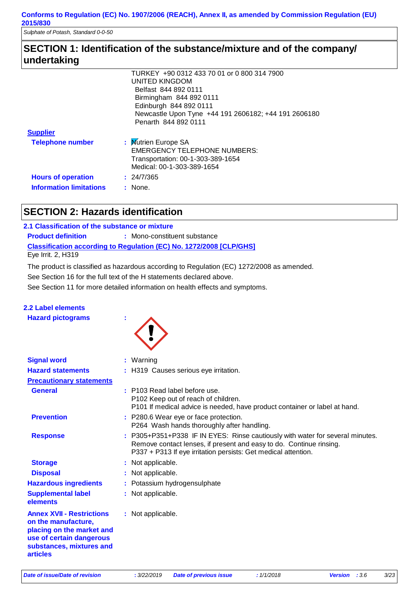*Sulphate of Potash, Standard 0-0-50*

### **SECTION 1: Identification of the substance/mixture and of the company/ undertaking**

|                                | TURKEY +90 0312 433 70 01 or 0 800 314 7900          |
|--------------------------------|------------------------------------------------------|
|                                | UNITED KINGDOM                                       |
|                                | Belfast 844 892 0111                                 |
|                                | Birmingham 844 892 0111                              |
|                                | Edinburgh 844 892 0111                               |
|                                | Newcastle Upon Tyne +44 191 2606182; +44 191 2606180 |
|                                | Penarth 844 892 0111                                 |
| <b>Supplier</b>                |                                                      |
| <b>Telephone number</b>        | : Mutrien Europe SA                                  |
|                                | <b>EMERGENCY TELEPHONE NUMBERS:</b>                  |
|                                | Transportation: 00-1-303-389-1654                    |
|                                | Medical: 00-1-303-389-1654                           |
| <b>Hours of operation</b>      | : 24/7/365                                           |
| <b>Information limitations</b> | : None.                                              |
|                                |                                                      |

### **SECTION 2: Hazards identification**

#### **2.1 Classification of the substance or mixture**

**Product definition : Mono-constituent substance** 

**Classification according to Regulation (EC) No. 1272/2008 [CLP/GHS]**

Eye Irrit. 2, H319

The product is classified as hazardous according to Regulation (EC) 1272/2008 as amended.

See Section 16 for the full text of the H statements declared above.

See Section 11 for more detailed information on health effects and symptoms.

#### **2.2 Label elements**

**Hazard pictograms :**



| <b>Signal word</b>                                                                                                                                              | : Warning                                                                                                                                                                                                              |
|-----------------------------------------------------------------------------------------------------------------------------------------------------------------|------------------------------------------------------------------------------------------------------------------------------------------------------------------------------------------------------------------------|
| <b>Hazard statements</b>                                                                                                                                        | : H319 Causes serious eye irritation.                                                                                                                                                                                  |
| <b>Precautionary statements</b>                                                                                                                                 |                                                                                                                                                                                                                        |
| <b>General</b>                                                                                                                                                  | : P103 Read label before use.<br>P102 Keep out of reach of children.<br>P101 If medical advice is needed, have product container or label at hand.                                                                     |
| <b>Prevention</b>                                                                                                                                               | : P280.6 Wear eye or face protection.<br>P264 Wash hands thoroughly after handling.                                                                                                                                    |
| <b>Response</b>                                                                                                                                                 | : P305+P351+P338 IF IN EYES: Rinse cautiously with water for several minutes.<br>Remove contact lenses, if present and easy to do. Continue rinsing.<br>P337 + P313 If eye irritation persists: Get medical attention. |
| <b>Storage</b>                                                                                                                                                  | : Not applicable.                                                                                                                                                                                                      |
| <b>Disposal</b>                                                                                                                                                 | : Not applicable.                                                                                                                                                                                                      |
| <b>Hazardous ingredients</b>                                                                                                                                    | : Potassium hydrogensulphate                                                                                                                                                                                           |
| <b>Supplemental label</b><br>elements                                                                                                                           | : Not applicable.                                                                                                                                                                                                      |
| <b>Annex XVII - Restrictions</b><br>on the manufacture,<br>placing on the market and<br>use of certain dangerous<br>substances, mixtures and<br><b>articles</b> | : Not applicable.                                                                                                                                                                                                      |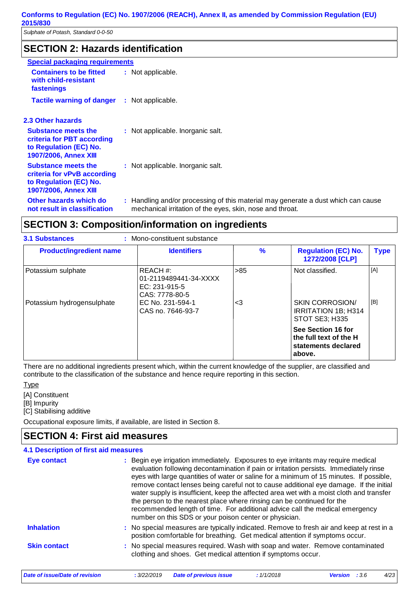### **SECTION 2: Hazards identification**

| <b>Special packaging requirements</b>                                                                               |                                                                                                                                                |
|---------------------------------------------------------------------------------------------------------------------|------------------------------------------------------------------------------------------------------------------------------------------------|
| <b>Containers to be fitted</b><br>with child-resistant<br>fastenings                                                | : Not applicable.                                                                                                                              |
| <b>Tactile warning of danger</b>                                                                                    | : Not applicable.                                                                                                                              |
| 2.3 Other hazards                                                                                                   |                                                                                                                                                |
| <b>Substance meets the</b><br>criteria for PBT according<br>to Regulation (EC) No.<br><b>1907/2006, Annex XIII</b>  | : Not applicable. Inorganic salt.                                                                                                              |
| <b>Substance meets the</b><br>criteria for vPvB according<br>to Regulation (EC) No.<br><b>1907/2006, Annex XIII</b> | : Not applicable. Inorganic salt.                                                                                                              |
| Other hazards which do<br>not result in classification                                                              | : Handling and/or processing of this material may generate a dust which can cause<br>mechanical irritation of the eyes, skin, nose and throat. |

### **SECTION 3: Composition/information on ingredients**

| <b>3.1 Substances</b>                            | : Mono-constituent substance                                                                                 |                |                                                                                           |             |
|--------------------------------------------------|--------------------------------------------------------------------------------------------------------------|----------------|-------------------------------------------------------------------------------------------|-------------|
| <b>Product/ingredient name</b>                   | <b>Identifiers</b>                                                                                           | $\%$           | <b>Regulation (EC) No.</b><br>1272/2008 [CLP]                                             | <b>Type</b> |
| Potassium sulphate<br>Potassium hydrogensulphate | REACH#:<br>01-2119489441-34-XXXX<br>EC: 231-915-5<br>CAS: 7778-80-5<br>EC No. 231-594-1<br>CAS no. 7646-93-7 | $>85$<br>$<$ 3 | Not classified.<br><b>SKIN CORROSION/</b><br><b>IRRITATION 1B: H314</b><br>STOT SE3; H335 | [A]<br>[B]  |
|                                                  |                                                                                                              |                | See Section 16 for<br>the full text of the H<br>statements declared<br>above.             |             |

There are no additional ingredients present which, within the current knowledge of the supplier, are classified and contribute to the classification of the substance and hence require reporting in this section.

**Type** 

- [A] Constituent
- [B] Impurity

[C] Stabilising additive

Occupational exposure limits, if available, are listed in Section 8.

### **SECTION 4: First aid measures**

| 4.1 Description of first aid measures<br><b>Eye contact</b> | : Begin eye irrigation immediately. Exposures to eye irritants may require medical<br>evaluation following decontamination if pain or irritation persists. Immediately rinse<br>eyes with large quantities of water or saline for a minimum of 15 minutes. If possible,<br>remove contact lenses being careful not to cause additional eye damage. If the initial<br>water supply is insufficient, keep the affected area wet with a moist cloth and transfer |
|-------------------------------------------------------------|---------------------------------------------------------------------------------------------------------------------------------------------------------------------------------------------------------------------------------------------------------------------------------------------------------------------------------------------------------------------------------------------------------------------------------------------------------------|
|                                                             | the person to the nearest place where rinsing can be continued for the<br>recommended length of time. For additional advice call the medical emergency<br>number on this SDS or your poison center or physician.                                                                                                                                                                                                                                              |
| <b>Inhalation</b>                                           | : No special measures are typically indicated. Remove to fresh air and keep at rest in a<br>position comfortable for breathing. Get medical attention if symptoms occur.                                                                                                                                                                                                                                                                                      |
| <b>Skin contact</b>                                         | : No special measures required. Wash with soap and water. Remove contaminated<br>clothing and shoes. Get medical attention if symptoms occur.                                                                                                                                                                                                                                                                                                                 |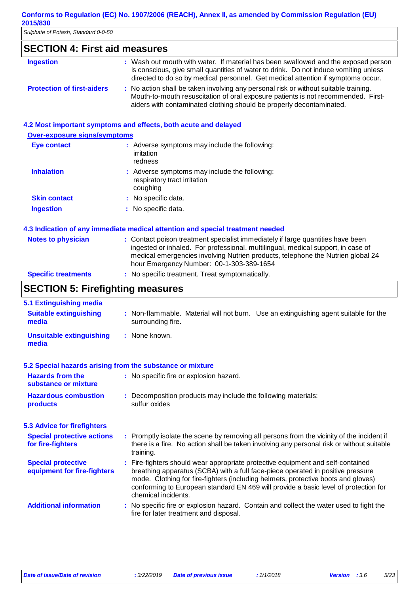| Sulphate of Potash, Standard 0-0-50  |                                                                                                                                                                                                                                                                |
|--------------------------------------|----------------------------------------------------------------------------------------------------------------------------------------------------------------------------------------------------------------------------------------------------------------|
| <b>SECTION 4: First aid measures</b> |                                                                                                                                                                                                                                                                |
| <b>Ingestion</b>                     | : Wash out mouth with water. If material has been swallowed and the exposed person<br>is conscious, give small quantities of water to drink. Do not induce vomiting unless<br>directed to do so by medical personnel. Get medical attention if symptoms occur. |
| <b>Protection of first-aiders</b>    | : No action shall be taken involving any personal risk or without suitable training.<br>Mouth-to-mouth resuscitation of oral exposure patients is not recommended. First-                                                                                      |
|                                      | aiders with contaminated clothing should be properly decontaminated.                                                                                                                                                                                           |
|                                      |                                                                                                                                                                                                                                                                |
| <b>Over-exposure signs/symptoms</b>  | 4.2 Most important symptoms and effects, both acute and delayed                                                                                                                                                                                                |
| <b>Eye contact</b>                   | : Adverse symptoms may include the following:<br>irritation<br>redness                                                                                                                                                                                         |
| <b>Inhalation</b>                    | : Adverse symptoms may include the following:<br>respiratory tract irritation<br>coughing                                                                                                                                                                      |
| <b>Skin contact</b>                  | No specific data.                                                                                                                                                                                                                                              |

ingested or inhaled. For professional, multilingual, medical support, in case of medical emergencies involving Nutrien products, telephone the Nutrien global 24

#### hour Emergency Number: 00-1-303-389-1654 **Specific treatments :** No specific treatment. Treat symptomatically.

### **SECTION 5: Firefighting measures**

| 5.1 Extinguishing media                                   |                                                                                                                                                                                                                                                                                                                                                                       |
|-----------------------------------------------------------|-----------------------------------------------------------------------------------------------------------------------------------------------------------------------------------------------------------------------------------------------------------------------------------------------------------------------------------------------------------------------|
| <b>Suitable extinguishing</b><br>media                    | : Non-flammable. Material will not burn. Use an extinguishing agent suitable for the<br>surrounding fire.                                                                                                                                                                                                                                                             |
| <b>Unsuitable extinguishing</b><br>media                  | : None known.                                                                                                                                                                                                                                                                                                                                                         |
| 5.2 Special hazards arising from the substance or mixture |                                                                                                                                                                                                                                                                                                                                                                       |
| <b>Hazards from the</b><br>substance or mixture           | : No specific fire or explosion hazard.                                                                                                                                                                                                                                                                                                                               |
| <b>Hazardous combustion</b><br><b>products</b>            | : Decomposition products may include the following materials:<br>sulfur oxides                                                                                                                                                                                                                                                                                        |
| <b>5.3 Advice for firefighters</b>                        |                                                                                                                                                                                                                                                                                                                                                                       |
| <b>Special protective actions</b><br>for fire-fighters    | : Promptly isolate the scene by removing all persons from the vicinity of the incident if<br>there is a fire. No action shall be taken involving any personal risk or without suitable<br>training.                                                                                                                                                                   |
| <b>Special protective</b><br>equipment for fire-fighters  | : Fire-fighters should wear appropriate protective equipment and self-contained<br>breathing apparatus (SCBA) with a full face-piece operated in positive pressure<br>mode. Clothing for fire-fighters (including helmets, protective boots and gloves)<br>conforming to European standard EN 469 will provide a basic level of protection for<br>chemical incidents. |
| <b>Additional information</b>                             | : No specific fire or explosion hazard. Contain and collect the water used to fight the<br>fire for later treatment and disposal.                                                                                                                                                                                                                                     |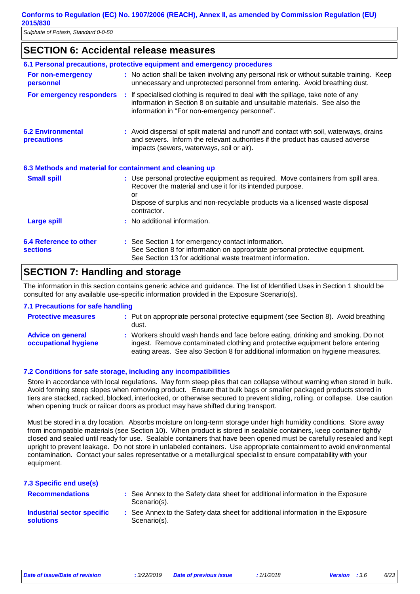### **SECTION 6: Accidental release measures**

|                                                          | 6.1 Personal precautions, protective equipment and emergency procedures                                                                                                                                                                             |
|----------------------------------------------------------|-----------------------------------------------------------------------------------------------------------------------------------------------------------------------------------------------------------------------------------------------------|
| For non-emergency<br>personnel                           | : No action shall be taken involving any personal risk or without suitable training. Keep<br>unnecessary and unprotected personnel from entering. Avoid breathing dust.                                                                             |
|                                                          | For emergency responders : If specialised clothing is required to deal with the spillage, take note of any<br>information in Section 8 on suitable and unsuitable materials. See also the<br>information in "For non-emergency personnel".          |
| <b>6.2 Environmental</b><br><b>precautions</b>           | : Avoid dispersal of spilt material and runoff and contact with soil, waterways, drains<br>and sewers. Inform the relevant authorities if the product has caused adverse<br>impacts (sewers, waterways, soil or air).                               |
| 6.3 Methods and material for containment and cleaning up |                                                                                                                                                                                                                                                     |
| <b>Small spill</b>                                       | : Use personal protective equipment as required. Move containers from spill area.<br>Recover the material and use it for its intended purpose.<br>or<br>Dispose of surplus and non-recyclable products via a licensed waste disposal<br>contractor. |
| <b>Large spill</b>                                       | : No additional information.                                                                                                                                                                                                                        |
| <b>6.4 Reference to other</b><br><b>sections</b>         | : See Section 1 for emergency contact information.<br>See Section 8 for information on appropriate personal protective equipment.<br>See Section 13 for additional waste treatment information.                                                     |

### **SECTION 7: Handling and storage**

The information in this section contains generic advice and guidance. The list of Identified Uses in Section 1 should be consulted for any available use-specific information provided in the Exposure Scenario(s).

#### **7.1 Precautions for safe handling**

| <b>Protective measures</b>                       | : Put on appropriate personal protective equipment (see Section 8). Avoid breathing<br>dust.                                                                                                                                                          |
|--------------------------------------------------|-------------------------------------------------------------------------------------------------------------------------------------------------------------------------------------------------------------------------------------------------------|
| <b>Advice on general</b><br>occupational hygiene | : Workers should wash hands and face before eating, drinking and smoking. Do not<br>ingest. Remove contaminated clothing and protective equipment before entering<br>eating areas. See also Section 8 for additional information on hygiene measures. |

#### **7.2 Conditions for safe storage, including any incompatibilities**

Store in accordance with local regulations. May form steep piles that can collapse without warning when stored in bulk. Avoid forming steep slopes when removing product. Ensure that bulk bags or smaller packaged products stored in tiers are stacked, racked, blocked, interlocked, or otherwise secured to prevent sliding, rolling, or collapse. Use caution when opening truck or railcar doors as product may have shifted during transport.

Must be stored in a dry location. Absorbs moisture on long-term storage under high humidity conditions. Store away from incompatible materials (see Section 10). When product is stored in sealable containers, keep container tightly closed and sealed until ready for use. Sealable containers that have been opened must be carefully resealed and kept upright to prevent leakage. Do not store in unlabeled containers. Use appropriate containment to avoid environmental contamination. Contact your sales representative or a metallurgical specialist to ensure compatability with your equipment.

| 7.3 Specific end use(s)                               |                                                                                                 |
|-------------------------------------------------------|-------------------------------------------------------------------------------------------------|
| <b>Recommendations</b>                                | : See Annex to the Safety data sheet for additional information in the Exposure<br>Scenario(s). |
| <b>Industrial sector specific</b><br><b>solutions</b> | : See Annex to the Safety data sheet for additional information in the Exposure<br>Scenario(s). |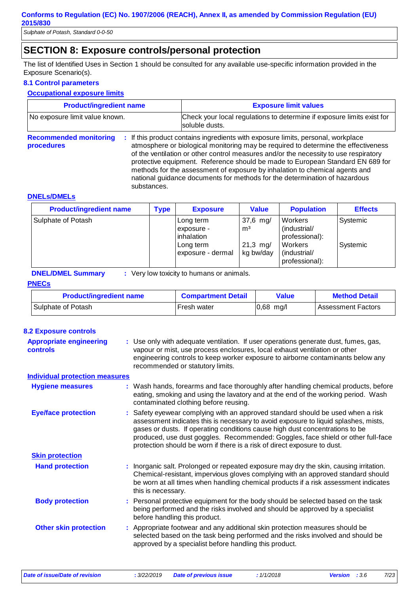*Sulphate of Potash, Standard 0-0-50*

### **SECTION 8: Exposure controls/personal protection**

The list of Identified Uses in Section 1 should be consulted for any available use-specific information provided in the Exposure Scenario(s).

#### **8.1 Control parameters**

#### **Occupational exposure limits**

| <b>Product/ingredient name</b>                             | <b>Exposure limit values</b>                                                                                                                                                                                                                                                                                                                                                                                                                                                                                  |  |  |
|------------------------------------------------------------|---------------------------------------------------------------------------------------------------------------------------------------------------------------------------------------------------------------------------------------------------------------------------------------------------------------------------------------------------------------------------------------------------------------------------------------------------------------------------------------------------------------|--|--|
| No exposure limit value known.                             | Check your local regulations to determine if exposure limits exist for<br>soluble dusts.                                                                                                                                                                                                                                                                                                                                                                                                                      |  |  |
| <b>Recommended monitoring</b><br>procedures<br>substances. | : If this product contains ingredients with exposure limits, personal, workplace<br>atmosphere or biological monitoring may be required to determine the effectiveness<br>of the ventilation or other control measures and/or the necessity to use respiratory<br>protective equipment. Reference should be made to European Standard EN 689 for<br>methods for the assessment of exposure by inhalation to chemical agents and<br>national guidance documents for methods for the determination of hazardous |  |  |

#### **DNELs/DMELs**

| <b>Product/ingredient name</b> | Tvpe | <b>Exposure</b>                                                         | <b>Value</b>                                            | <b>Population</b>                                                                      | <b>Effects</b>       |
|--------------------------------|------|-------------------------------------------------------------------------|---------------------------------------------------------|----------------------------------------------------------------------------------------|----------------------|
| Sulphate of Potash             |      | Long term<br>exposure -<br>inhalation<br>Long term<br>exposure - dermal | $37,6$ mg/<br>m <sup>3</sup><br>$21,3$ mg/<br>kg bw/day | Workers<br>(industrial/<br>professional):<br>Workers<br>(industrial/<br>professional): | Systemic<br>Systemic |

**DNEL/DMEL Summary :** Very low toxicity to humans or animals.

#### **PNECs**

| <b>Product/ingredient name</b> | <b>Compartment Detail</b> | <b>Value</b> | <b>Method Detail</b>      |
|--------------------------------|---------------------------|--------------|---------------------------|
| Sulphate of Potash             | Fresh water               | $0,68$ mg/l  | <b>Assessment Factors</b> |

| <b>8.2 Exposure controls</b>                      |                                                                                                                                                                                                                                                                                                                                                                                                                        |
|---------------------------------------------------|------------------------------------------------------------------------------------------------------------------------------------------------------------------------------------------------------------------------------------------------------------------------------------------------------------------------------------------------------------------------------------------------------------------------|
| <b>Appropriate engineering</b><br><b>controls</b> | : Use only with adequate ventilation. If user operations generate dust, fumes, gas,<br>vapour or mist, use process enclosures, local exhaust ventilation or other<br>engineering controls to keep worker exposure to airborne contaminants below any<br>recommended or statutory limits.                                                                                                                               |
| <b>Individual protection measures</b>             |                                                                                                                                                                                                                                                                                                                                                                                                                        |
| <b>Hygiene measures</b>                           | : Wash hands, forearms and face thoroughly after handling chemical products, before<br>eating, smoking and using the lavatory and at the end of the working period. Wash<br>contaminated clothing before reusing.                                                                                                                                                                                                      |
| <b>Eye/face protection</b>                        | : Safety eyewear complying with an approved standard should be used when a risk<br>assessment indicates this is necessary to avoid exposure to liquid splashes, mists,<br>gases or dusts. If operating conditions cause high dust concentrations to be<br>produced, use dust goggles. Recommended: Goggles, face shield or other full-face<br>protection should be worn if there is a risk of direct exposure to dust. |
| <b>Skin protection</b>                            |                                                                                                                                                                                                                                                                                                                                                                                                                        |
| <b>Hand protection</b>                            | : Inorganic salt. Prolonged or repeated exposure may dry the skin, causing irritation.<br>Chemical-resistant, impervious gloves complying with an approved standard should<br>be worn at all times when handling chemical products if a risk assessment indicates<br>this is necessary.                                                                                                                                |
| <b>Body protection</b>                            | : Personal protective equipment for the body should be selected based on the task<br>being performed and the risks involved and should be approved by a specialist<br>before handling this product.                                                                                                                                                                                                                    |
| <b>Other skin protection</b>                      | : Appropriate footwear and any additional skin protection measures should be<br>selected based on the task being performed and the risks involved and should be<br>approved by a specialist before handling this product.                                                                                                                                                                                              |
|                                                   |                                                                                                                                                                                                                                                                                                                                                                                                                        |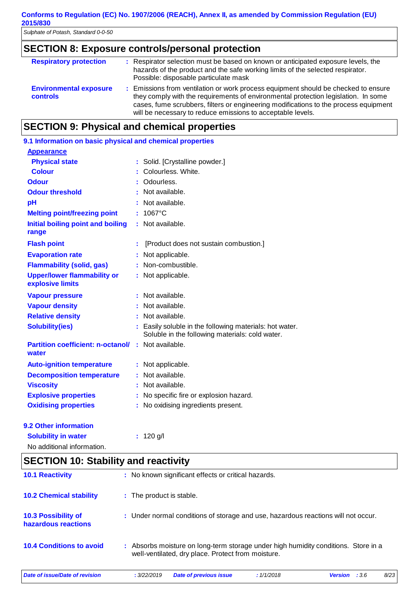# **SECTION 8: Exposure controls/personal protection**

| <b>Respiratory protection</b>                    | : Respirator selection must be based on known or anticipated exposure levels, the<br>hazards of the product and the safe working limits of the selected respirator.<br>Possible: disposable particulate mask                                                                                                                    |
|--------------------------------------------------|---------------------------------------------------------------------------------------------------------------------------------------------------------------------------------------------------------------------------------------------------------------------------------------------------------------------------------|
| <b>Environmental exposure</b><br><b>controls</b> | : Emissions from ventilation or work process equipment should be checked to ensure<br>they comply with the requirements of environmental protection legislation. In some<br>cases, fume scrubbers, filters or engineering modifications to the process equipment<br>will be necessary to reduce emissions to acceptable levels. |

### **SECTION 9: Physical and chemical properties**

| 9.1 Information on basic physical and chemical properties |    |                                                                                                          |
|-----------------------------------------------------------|----|----------------------------------------------------------------------------------------------------------|
| <b>Appearance</b>                                         |    |                                                                                                          |
| <b>Physical state</b>                                     |    | Solid. [Crystalline powder.]                                                                             |
| <b>Colour</b>                                             |    | Colourless, White.                                                                                       |
| <b>Odour</b>                                              |    | Odourless.                                                                                               |
| <b>Odour threshold</b>                                    |    | Not available.                                                                                           |
| pH                                                        |    | Not available.                                                                                           |
| <b>Melting point/freezing point</b>                       | ÷. | 1067°C                                                                                                   |
| Initial boiling point and boiling<br>range                |    | Not available.                                                                                           |
| <b>Flash point</b>                                        |    | [Product does not sustain combustion.]                                                                   |
| <b>Evaporation rate</b>                                   |    | Not applicable.                                                                                          |
| <b>Flammability (solid, gas)</b>                          |    | : Non-combustible.                                                                                       |
| <b>Upper/lower flammability or</b><br>explosive limits    | t. | Not applicable.                                                                                          |
| <b>Vapour pressure</b>                                    |    | : Not available.                                                                                         |
| <b>Vapour density</b>                                     |    | Not available.                                                                                           |
| <b>Relative density</b>                                   |    | Not available.                                                                                           |
| <b>Solubility(ies)</b>                                    |    | Easily soluble in the following materials: hot water.<br>Soluble in the following materials: cold water. |
| <b>Partition coefficient: n-octanol/</b><br>water         |    | : Not available.                                                                                         |
| <b>Auto-ignition temperature</b>                          |    | Not applicable.                                                                                          |
| <b>Decomposition temperature</b>                          |    | : Not available.                                                                                         |
| <b>Viscosity</b>                                          |    | Not available.                                                                                           |
| <b>Explosive properties</b>                               |    | No specific fire or explosion hazard.                                                                    |
| <b>Oxidising properties</b>                               |    | No oxidising ingredients present.                                                                        |
| <b>9.2 Other information</b>                              |    |                                                                                                          |

|--|

No additional information.

**:** 120 g/l

### **SECTION 10: Stability and reactivity**

| <b>10.1 Reactivity</b>                            | : No known significant effects or critical hazards.                                                                                      |         |
|---------------------------------------------------|------------------------------------------------------------------------------------------------------------------------------------------|---------|
| <b>10.2 Chemical stability</b>                    | : The product is stable.                                                                                                                 |         |
| <b>10.3 Possibility of</b><br>hazardous reactions | : Under normal conditions of storage and use, hazardous reactions will not occur.                                                        |         |
| <b>10.4 Conditions to avoid</b>                   | : Absorbs moisture on long-term storage under high humidity conditions. Store in a<br>well-ventilated, dry place. Protect from moisture. |         |
| Date of issue/Date of revision                    | :3.6<br>: 3/22/2019<br><b>Date of previous issue</b><br>:1/1/2018<br><b>Version</b>                                                      | $8/2$ 3 |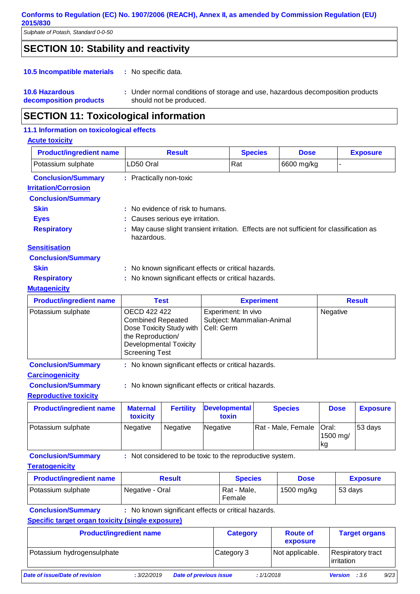*Sulphate of Potash, Standard 0-0-50*

### **SECTION 10: Stability and reactivity**

#### : No specific data. **10.5 Incompatible materials :**

#### **10.6 Hazardous decomposition products** Under normal conditions of storage and use, hazardous decomposition products **:** should not be produced.

### **SECTION 11: Toxicological information**

#### **11.1 Information on toxicological effects**

#### **Acute toxicity** Potassium sulphate  $\vert$ LD50 Oral  $\vert$ Rat  $\vert$  6600 mg/kg **Product/ingredient name The Result Conservation Conservation Conservation Conservation Conservation Conservation Conservation Conservation Conservation Conservation Conservation Conservation Conservation Conservation Cons Conclusion/Summary :** Practically non-toxic **Carcinogenicity Conclusion/Summary :** No known significant effects or critical hazards. **Mutagenicity** Potassium sulphate | OECD 422 422 Combined Repeated Dose Toxicity Study with the Reproduction/ Developmental Toxicity Screening Test Experiment: In vivo Subject: Mammalian-Animal Cell: Germ **Negative Product/ingredient name Test Test Result** Experiment Result **Conclusion/Summary :** No known significant effects or critical hazards. **Reproductive toxicity Product/ingredient name | Maternal toxicity Fertility Developmental toxin Species Dose Exposure** Potassium sulphate | Negative | Negative | Negative | Rat - Male, Female | Oral: 1500 mg/ 53 days **Irritation/Corrosion Conclusion/Summary Skin** : No evidence of risk to humans. **Eyes** : Causes serious eye irritation. **Respiratory :** May cause slight transient irritation. Effects are not sufficient for classification as hazardous. **Sensitisation Conclusion/Summary Skin** : No known significant effects or critical hazards. **Respiratory** : No known significant effects or critical hazards.

**Conclusion/Summary :** Not considered to be toxic to the reproductive system.

#### **Teratogenicity**

| <b>Product/ingredient name</b> | <b>Result</b>   | <b>Species</b>        | <b>Dose</b> | <b>Exposure</b> |
|--------------------------------|-----------------|-----------------------|-------------|-----------------|
| Potassium sulphate             | Negative - Oral | Rat - Male,<br>Female | 1500 mg/kg  | 53 days         |

kg

**Conclusion/Summary :** No known significant effects or critical hazards.

**Specific target organ toxicity (single exposure)**

| <b>Product/ingredient name</b> |             |                               | <b>Category</b> |           | <b>Route of</b><br>exposure |                                          | <b>Target organs</b> |      |
|--------------------------------|-------------|-------------------------------|-----------------|-----------|-----------------------------|------------------------------------------|----------------------|------|
| Potassium hydrogensulphate     |             |                               | Category 3      |           | Not applicable.             | <b>Respiratory tract</b><br>l irritation |                      |      |
| Date of issue/Date of revision | : 3/22/2019 | <b>Date of previous issue</b> |                 | :1/1/2018 |                             | <b>Version</b>                           | :3.6                 | 9/23 |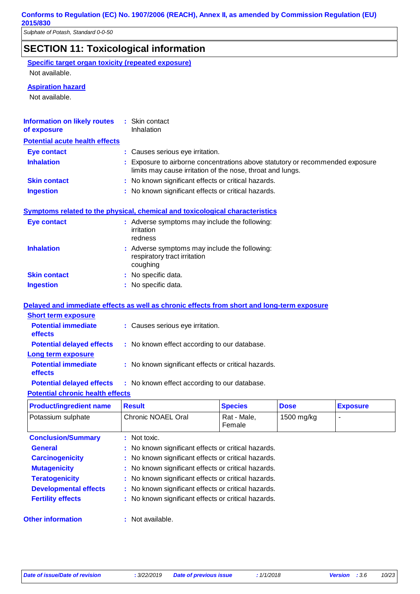| <b>SECTION 11: Toxicological information</b>                                                                             |                                                     |                                                                                                                                           |                       |             |                 |
|--------------------------------------------------------------------------------------------------------------------------|-----------------------------------------------------|-------------------------------------------------------------------------------------------------------------------------------------------|-----------------------|-------------|-----------------|
| <b>Specific target organ toxicity (repeated exposure)</b>                                                                |                                                     |                                                                                                                                           |                       |             |                 |
| Not available.                                                                                                           |                                                     |                                                                                                                                           |                       |             |                 |
| <b>Aspiration hazard</b>                                                                                                 |                                                     |                                                                                                                                           |                       |             |                 |
| Not available.                                                                                                           |                                                     |                                                                                                                                           |                       |             |                 |
|                                                                                                                          |                                                     |                                                                                                                                           |                       |             |                 |
| <b>Information on likely routes</b><br>of exposure                                                                       |                                                     | : Skin contact<br>Inhalation                                                                                                              |                       |             |                 |
| <b>Potential acute health effects</b>                                                                                    |                                                     |                                                                                                                                           |                       |             |                 |
| <b>Eye contact</b>                                                                                                       |                                                     | : Causes serious eye irritation.                                                                                                          |                       |             |                 |
| <b>Inhalation</b>                                                                                                        |                                                     | Exposure to airborne concentrations above statutory or recommended exposure<br>limits may cause irritation of the nose, throat and lungs. |                       |             |                 |
| <b>Skin contact</b>                                                                                                      |                                                     | : No known significant effects or critical hazards.                                                                                       |                       |             |                 |
| <b>Ingestion</b>                                                                                                         |                                                     | : No known significant effects or critical hazards.                                                                                       |                       |             |                 |
|                                                                                                                          |                                                     |                                                                                                                                           |                       |             |                 |
| Symptoms related to the physical, chemical and toxicological characteristics<br><b>Eye contact</b>                       |                                                     | : Adverse symptoms may include the following:                                                                                             |                       |             |                 |
|                                                                                                                          |                                                     | irritation<br>redness                                                                                                                     |                       |             |                 |
| <b>Inhalation</b>                                                                                                        |                                                     | Adverse symptoms may include the following:<br>respiratory tract irritation<br>coughing                                                   |                       |             |                 |
| <b>Skin contact</b>                                                                                                      |                                                     | : No specific data.                                                                                                                       |                       |             |                 |
| <b>Ingestion</b>                                                                                                         |                                                     | : No specific data.                                                                                                                       |                       |             |                 |
|                                                                                                                          |                                                     |                                                                                                                                           |                       |             |                 |
| Delayed and immediate effects as well as chronic effects from short and long-term exposure<br><b>Short term exposure</b> |                                                     |                                                                                                                                           |                       |             |                 |
| <b>Potential immediate</b><br>effects                                                                                    |                                                     | : Causes serious eye irritation.                                                                                                          |                       |             |                 |
| <b>Potential delayed effects</b>                                                                                         |                                                     | : No known effect according to our database.                                                                                              |                       |             |                 |
| Long term exposure                                                                                                       |                                                     |                                                                                                                                           |                       |             |                 |
| <b>Potential immediate</b><br>effects                                                                                    | : No known significant effects or critical hazards. |                                                                                                                                           |                       |             |                 |
| <b>Potential delayed effects</b>                                                                                         |                                                     | : No known effect according to our database.                                                                                              |                       |             |                 |
| <b>Potential chronic health effects</b>                                                                                  |                                                     |                                                                                                                                           |                       |             |                 |
| <b>Product/ingredient name</b>                                                                                           |                                                     | <b>Result</b>                                                                                                                             | <b>Species</b>        | <b>Dose</b> | <b>Exposure</b> |
| Potassium sulphate                                                                                                       |                                                     | Chronic NOAEL Oral                                                                                                                        | Rat - Male,<br>Female | 1500 mg/kg  |                 |
| <b>Conclusion/Summary</b>                                                                                                | : Not toxic.                                        |                                                                                                                                           |                       |             |                 |
| <b>General</b>                                                                                                           | No known significant effects or critical hazards.   |                                                                                                                                           |                       |             |                 |
| <b>Carcinogenicity</b>                                                                                                   | No known significant effects or critical hazards.   |                                                                                                                                           |                       |             |                 |

- **Mutagenicity :** No known significant effects or critical hazards.
- **Teratogenicity :** No known significant effects or critical hazards. **Developmental effects :** No known significant effects or critical hazards.
- **Fertility effects** : No known significant effects or critical hazards.
- **Other information :**
	- : Not available.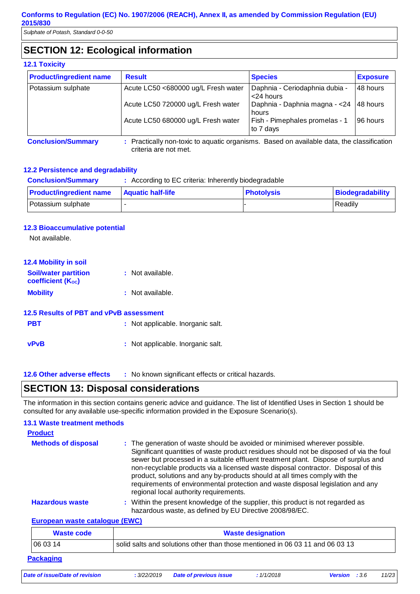*Sulphate of Potash, Standard 0-0-50*

### **SECTION 12: Ecological information**

#### **12.1 Toxicity**

| <b>Product/ingredient name</b> | <b>Result</b>                                                                             | <b>Species</b>                                   | <b>Exposure</b> |
|--------------------------------|-------------------------------------------------------------------------------------------|--------------------------------------------------|-----------------|
| Potassium sulphate             | Acute LC50 <680000 ug/L Fresh water                                                       | Daphnia - Ceriodaphnia dubia -<br>$<$ 24 hours   | 48 hours        |
|                                | Acute LC50 720000 ug/L Fresh water                                                        | Daphnia - Daphnia magna - < 24 48 hours<br>hours |                 |
|                                | Acute LC50 680000 ug/L Fresh water                                                        | Fish - Pimephales promelas - 1<br>to 7 days      | 96 hours        |
| <b>Conclusion/Summary</b>      | : Practically non-toxic to aguatic organisms. Based on available data, the classification |                                                  |                 |

**Conclusion/Summary :** Practically non-toxic to aquatic organisms. Based on available data, the classification criteria are not met.

#### **12.2 Persistence and degradability**

| <b>Conclusion/Summary</b>      | : According to EC criteria: Inherently biodegradable |                   |                  |
|--------------------------------|------------------------------------------------------|-------------------|------------------|
| <b>Product/ingredient name</b> | Aquatic half-life_                                   | <b>Photolysis</b> | Biodegradability |
| Potassium sulphate             |                                                      |                   | Readily          |

#### **12.3 Bioaccumulative potential**

Not available.

| <b>12.4 Mobility in soil</b>                            |                                   |
|---------------------------------------------------------|-----------------------------------|
| <b>Soil/water partition</b><br><b>coefficient (Koc)</b> | : Not available.                  |
| <b>Mobility</b>                                         | : Not available.                  |
| 12.5 Results of PBT and vPvB assessment                 |                                   |
| <b>PBT</b>                                              | : Not applicable. Inorganic salt. |
| <b>vPvB</b>                                             | : Not applicable. Inorganic salt. |

**12.6 Other adverse effects** : No known significant effects or critical hazards.

### **SECTION 13: Disposal considerations**

The information in this section contains generic advice and guidance. The list of Identified Uses in Section 1 should be consulted for any available use-specific information provided in the Exposure Scenario(s).

#### **European waste catalogue (EWC)** Within the present knowledge of the supplier, this product is not regarded as hazardous waste, as defined by EU Directive 2008/98/EC. **Hazardous waste : Methods of disposal : 13.1 Waste treatment methods Product Waste code Waste designation** The generation of waste should be avoided or minimised wherever possible. Significant quantities of waste product residues should not be disposed of via the foul sewer but processed in a suitable effluent treatment plant. Dispose of surplus and non-recyclable products via a licensed waste disposal contractor. Disposal of this product, solutions and any by-products should at all times comply with the requirements of environmental protection and waste disposal legislation and any regional local authority requirements.

| waste code | <b><i><u>viaste designation</u></i></b>                                       |
|------------|-------------------------------------------------------------------------------|
| 1060314    | solid salts and solutions other than those mentioned in 06 03 11 and 06 03 13 |
| Packaging  |                                                                               |

|  | Date of issue/Date of revision |
|--|--------------------------------|
|  |                                |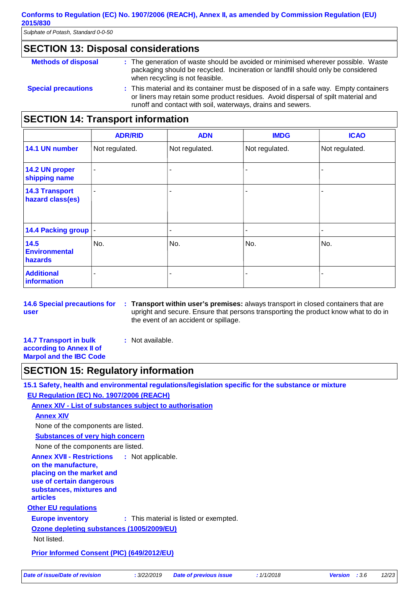*Sulphate of Potash, Standard 0-0-50*

#### **SECTION 13: Disposal considerations**

| <b>Methods of disposal</b> | : The generation of waste should be avoided or minimised wherever possible. Waste<br>packaging should be recycled. Incineration or landfill should only be considered<br>when recycling is not feasible.                                  |
|----------------------------|-------------------------------------------------------------------------------------------------------------------------------------------------------------------------------------------------------------------------------------------|
| <b>Special precautions</b> | : This material and its container must be disposed of in a safe way. Empty containers<br>or liners may retain some product residues. Avoid dispersal of spilt material and<br>runoff and contact with soil, waterways, drains and sewers. |

### **SECTION 14: Transport information**

|                                           | <b>ADR/RID</b> | <b>ADN</b>     | <b>IMDG</b>              | <b>ICAO</b>    |
|-------------------------------------------|----------------|----------------|--------------------------|----------------|
| 14.1 UN number                            | Not regulated. | Not regulated. | Not regulated.           | Not regulated. |
| 14.2 UN proper<br>shipping name           | $\blacksquare$ | -              | ۰                        |                |
| <b>14.3 Transport</b><br>hazard class(es) | ٠              |                | ۰                        |                |
| 14.4 Packing group                        |                | -              | $\overline{\phantom{a}}$ | ۰              |
| 14.5<br><b>Environmental</b><br>hazards   | No.            | No.            | No.                      | No.            |
| <b>Additional</b><br>information          | ۰              |                |                          |                |

**14.6 Special precautions for user Transport within user's premises:** always transport in closed containers that are **:** upright and secure. Ensure that persons transporting the product know what to do in the event of an accident or spillage.

**14.7 Transport in bulk according to Annex II of Marpol and the IBC Code :** Not available.

### **SECTION 15: Regulatory information**

**Other EU regulations Annex XVII - Restrictions on the manufacture, placing on the market and use of certain dangerous substances, mixtures and articles** : Not applicable. **Europe inventory :** This material is listed or exempted. **15.1 Safety, health and environmental regulations/legislation specific for the substance or mixture EU Regulation (EC) No. 1907/2006 (REACH) Annex XIV - List of substances subject to authorisation Substances of very high concern** None of the components are listed. **Annex XIV** None of the components are listed. **Ozone depleting substances (1005/2009/EU)** Not listed. **Prior Informed Consent (PIC) (649/2012/EU)** *Date of issue/Date of revision* **:** *3/22/2019 Date of previous issue : 1/1/2018 Version : 3.6 12/23*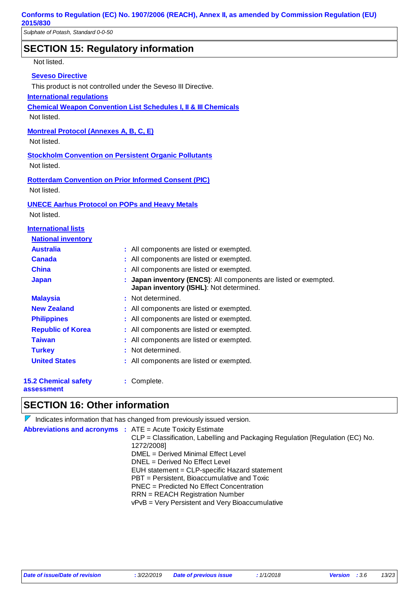### **SECTION 15: Regulatory information**

Not listed.

#### **Seveso Directive**

This product is not controlled under the Seveso III Directive.

#### **International regulations**

**Chemical Weapon Convention List Schedules I, II & III Chemicals**

Not listed.

#### **Montreal Protocol (Annexes A, B, C, E)**

Not listed.

**Stockholm Convention on Persistent Organic Pollutants** Not listed.

**Rotterdam Convention on Prior Informed Consent (PIC)** Not listed.

#### **UNECE Aarhus Protocol on POPs and Heavy Metals**

Not listed.

#### **International lists**

| <b>National inventory</b>          |                                                                                                             |
|------------------------------------|-------------------------------------------------------------------------------------------------------------|
| <b>Australia</b>                   | : All components are listed or exempted.                                                                    |
| <b>Canada</b>                      | : All components are listed or exempted.                                                                    |
| <b>China</b>                       | : All components are listed or exempted.                                                                    |
| <b>Japan</b>                       | : Japan inventory (ENCS): All components are listed or exempted.<br>Japan inventory (ISHL): Not determined. |
| <b>Malaysia</b>                    | : Not determined.                                                                                           |
| <b>New Zealand</b>                 | : All components are listed or exempted.                                                                    |
| <b>Philippines</b>                 | : All components are listed or exempted.                                                                    |
| <b>Republic of Korea</b>           | : All components are listed or exempted.                                                                    |
| <b>Taiwan</b>                      | : All components are listed or exempted.                                                                    |
| <b>Turkey</b>                      | : Not determined.                                                                                           |
| <b>United States</b>               | : All components are listed or exempted.                                                                    |
| 15.2 Chemical safety<br>assessment | : Complete.                                                                                                 |

### **SECTION 16: Other information**

 $\nabla$  Indicates information that has changed from previously issued version. **Abbreviations and acronyms :** ATE = Acute Toxicity Estimate CLP = Classification, Labelling and Packaging Regulation [Regulation (EC) No. 1272/2008] DMEL = Derived Minimal Effect Level DNEL = Derived No Effect Level EUH statement = CLP-specific Hazard statement PBT = Persistent, Bioaccumulative and Toxic PNEC = Predicted No Effect Concentration RRN = REACH Registration Number vPvB = Very Persistent and Very Bioaccumulative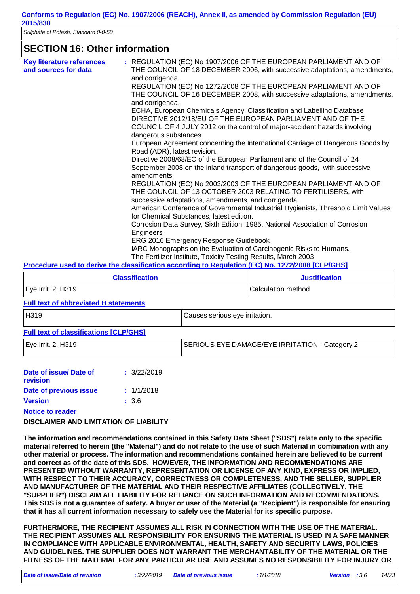*Sulphate of Potash, Standard 0-0-50*

### **SECTION 16: Other information**

| <b>Key literature references</b> | : REGULATION (EC) No 1907/2006 OF THE EUROPEAN PARLIAMENT AND OF                                                              |
|----------------------------------|-------------------------------------------------------------------------------------------------------------------------------|
| and sources for data             | THE COUNCIL OF 18 DECEMBER 2006, with successive adaptations, amendments,<br>and corrigenda.                                  |
|                                  | REGULATION (EC) No 1272/2008 OF THE EUROPEAN PARLIAMENT AND OF                                                                |
|                                  | THE COUNCIL OF 16 DECEMBER 2008, with successive adaptations, amendments,                                                     |
|                                  | and corrigenda.                                                                                                               |
|                                  | ECHA, European Chemicals Agency, Classification and Labelling Database                                                        |
|                                  | DIRECTIVE 2012/18/EU OF THE EUROPEAN PARLIAMENT AND OF THE                                                                    |
|                                  | COUNCIL OF 4 JULY 2012 on the control of major-accident hazards involving<br>dangerous substances                             |
|                                  | European Agreement concerning the International Carriage of Dangerous Goods by<br>Road (ADR), latest revision.                |
|                                  | Directive 2008/68/EC of the European Parliament and of the Council of 24                                                      |
|                                  | September 2008 on the inland transport of dangerous goods, with successive<br>amendments.                                     |
|                                  | REGULATION (EC) No 2003/2003 OF THE EUROPEAN PARLIAMENT AND OF                                                                |
|                                  | THE COUNCIL OF 13 OCTOBER 2003 RELATING TO FERTILISERS, with                                                                  |
|                                  | successive adaptations, amendments, and corrigenda.                                                                           |
|                                  | American Conference of Governmental Industrial Hygienists, Threshold Limit Values<br>for Chemical Substances, latest edition. |
|                                  | Corrosion Data Survey, Sixth Edition, 1985, National Association of Corrosion                                                 |
|                                  | Engineers                                                                                                                     |
|                                  | ERG 2016 Emergency Response Guidebook                                                                                         |
|                                  | IARC Monographs on the Evaluation of Carcinogenic Risks to Humans.                                                            |
|                                  | The Fertilizer Institute, Toxicity Testing Results, March 2003                                                                |
|                                  | Procedure used to derive the classification according to Regulation (EC) No. 1272/2008 [CLP/GHS]                              |

| <b>Classification</b> | <b>Justification</b> |
|-----------------------|----------------------|
| Eye Irrit. 2, H319    | l Calculation method |

### **Full text of abbreviated H statements**

| H319                                          | Causes serious eye irritation.                 |
|-----------------------------------------------|------------------------------------------------|
| <b>Full text of classifications [CLP/GHS]</b> |                                                |
| Eye Irrit. 2, H319                            | SERIOUS EYE DAMAGE/EYE IRRITATION - Category 2 |

| Date of issue/Date of  | : 3/22/2019 |
|------------------------|-------------|
| revision               |             |
| Date of previous issue | : 1/1/2018  |
| <b>Version</b>         | : 3.6       |
|                        |             |

**Notice to reader**

#### **DISCLAIMER AND LIMITATION OF LIABILITY**

**The information and recommendations contained in this Safety Data Sheet ("SDS") relate only to the specific material referred to herein (the "Material") and do not relate to the use of such Material in combination with any other material or process. The information and recommendations contained herein are believed to be current and correct as of the date of this SDS. HOWEVER, THE INFORMATION AND RECOMMENDATIONS ARE PRESENTED WITHOUT WARRANTY, REPRESENTATION OR LICENSE OF ANY KIND, EXPRESS OR IMPLIED, WITH RESPECT TO THEIR ACCURACY, CORRECTNESS OR COMPLETENESS, AND THE SELLER, SUPPLIER AND MANUFACTURER OF THE MATERIAL AND THEIR RESPECTIVE AFFILIATES (COLLECTIVELY, THE "SUPPLIER") DISCLAIM ALL LIABILITY FOR RELIANCE ON SUCH INFORMATION AND RECOMMENDATIONS. This SDS is not a guarantee of safety. A buyer or user of the Material (a "Recipient") is responsible for ensuring that it has all current information necessary to safely use the Material for its specific purpose.**

**FURTHERMORE, THE RECIPIENT ASSUMES ALL RISK IN CONNECTION WITH THE USE OF THE MATERIAL. THE RECIPIENT ASSUMES ALL RESPONSIBILITY FOR ENSURING THE MATERIAL IS USED IN A SAFE MANNER IN COMPLIANCE WITH APPLICABLE ENVIRONMENTAL, HEALTH, SAFETY AND SECURITY LAWS, POLICIES AND GUIDELINES. THE SUPPLIER DOES NOT WARRANT THE MERCHANTABILITY OF THE MATERIAL OR THE FITNESS OF THE MATERIAL FOR ANY PARTICULAR USE AND ASSUMES NO RESPONSIBILITY FOR INJURY OR**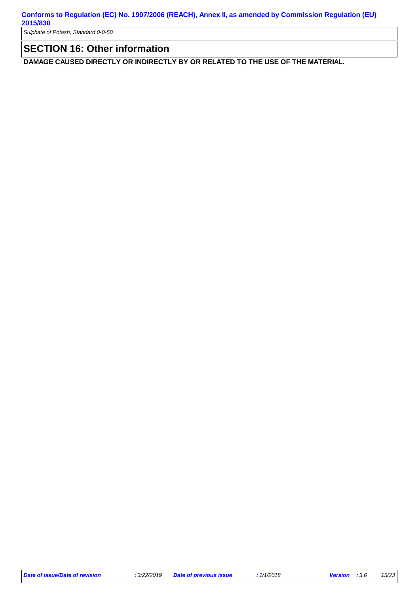*Sulphate of Potash, Standard 0-0-50*

### **SECTION 16: Other information**

**DAMAGE CAUSED DIRECTLY OR INDIRECTLY BY OR RELATED TO THE USE OF THE MATERIAL.**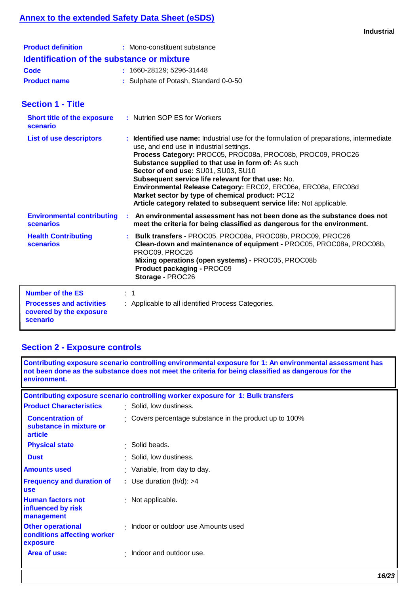### **Annex to the extended Safety Data Sheet (eSDS)**

|                                                                                                   | <b>Industrial</b>                                                                                                                                                                                                                                                                                                                                                                                                                                                                                                                                |
|---------------------------------------------------------------------------------------------------|--------------------------------------------------------------------------------------------------------------------------------------------------------------------------------------------------------------------------------------------------------------------------------------------------------------------------------------------------------------------------------------------------------------------------------------------------------------------------------------------------------------------------------------------------|
| <b>Product definition</b>                                                                         | : Mono-constituent substance                                                                                                                                                                                                                                                                                                                                                                                                                                                                                                                     |
| Identification of the substance or mixture                                                        |                                                                                                                                                                                                                                                                                                                                                                                                                                                                                                                                                  |
| Code                                                                                              | : 1660-28129; 5296-31448                                                                                                                                                                                                                                                                                                                                                                                                                                                                                                                         |
| <b>Product name</b>                                                                               | : Sulphate of Potash, Standard 0-0-50                                                                                                                                                                                                                                                                                                                                                                                                                                                                                                            |
| <b>Section 1 - Title</b>                                                                          |                                                                                                                                                                                                                                                                                                                                                                                                                                                                                                                                                  |
| <b>Short title of the exposure</b><br>scenario                                                    | : Nutrien SOP ES for Workers                                                                                                                                                                                                                                                                                                                                                                                                                                                                                                                     |
| <b>List of use descriptors</b>                                                                    | : Identified use name: Industrial use for the formulation of preparations, intermediate<br>use, and end use in industrial settings.<br>Process Category: PROC05, PROC08a, PROC08b, PROC09, PROC26<br>Substance supplied to that use in form of: As such<br>Sector of end use: SU01, SU03, SU10<br>Subsequent service life relevant for that use: No.<br>Environmental Release Category: ERC02, ERC06a, ERC08a, ERC08d<br>Market sector by type of chemical product: PC12<br>Article category related to subsequent service life: Not applicable. |
| <b>Environmental contributing</b><br>scenarios                                                    | An environmental assessment has not been done as the substance does not<br>meet the criteria for being classified as dangerous for the environment.                                                                                                                                                                                                                                                                                                                                                                                              |
| <b>Health Contributing</b><br>scenarios                                                           | Bulk transfers - PROC05, PROC08a, PROC08b, PROC09, PROC26<br>Clean-down and maintenance of equipment - PROC05, PROC08a, PROC08b,<br>PROC09, PROC26<br>Mixing operations (open systems) - PROC05, PROC08b<br>Product packaging - PROC09<br>Storage - PROC26                                                                                                                                                                                                                                                                                       |
| <b>Number of the ES</b><br><b>Processes and activities</b><br>covered by the exposure<br>scenario | $\div$ 1<br>: Applicable to all identified Process Categories.                                                                                                                                                                                                                                                                                                                                                                                                                                                                                   |

# **Section 2 - Exposure controls**

| Contributing exposure scenario controlling environmental exposure for 1: An environmental assessment has<br>not been done as the substance does not meet the criteria for being classified as dangerous for the<br>environment. |                                                                                  |  |  |
|---------------------------------------------------------------------------------------------------------------------------------------------------------------------------------------------------------------------------------|----------------------------------------------------------------------------------|--|--|
|                                                                                                                                                                                                                                 | Contributing exposure scenario controlling worker exposure for 1: Bulk transfers |  |  |
| <b>Product Characteristics</b>                                                                                                                                                                                                  | : Solid, low dustiness.                                                          |  |  |
| <b>Concentration of</b><br>substance in mixture or<br>article                                                                                                                                                                   | Covers percentage substance in the product up to 100%                            |  |  |
| <b>Physical state</b>                                                                                                                                                                                                           | $\cdot$ Solid beads.                                                             |  |  |
| <b>Dust</b>                                                                                                                                                                                                                     | · Solid, low dustiness.                                                          |  |  |
| <b>Amounts used</b>                                                                                                                                                                                                             | : Variable, from day to day.                                                     |  |  |
| <b>Frequency and duration of</b><br><b>use</b>                                                                                                                                                                                  | : Use duration $(h/d)$ : >4                                                      |  |  |
| <b>Human factors not</b><br>influenced by risk<br>management                                                                                                                                                                    | : Not applicable.                                                                |  |  |
| <b>Other operational</b><br>conditions affecting worker<br>exposure                                                                                                                                                             | · Indoor or outdoor use Amounts used                                             |  |  |
| Area of use:                                                                                                                                                                                                                    | $\cdot$ Indoor and outdoor use.                                                  |  |  |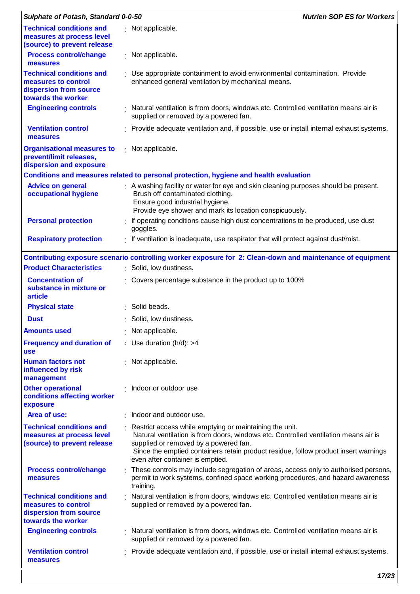| Sulphate of Potash, Standard 0-0-50                                                                    | <b>Nutrien SOP ES for Workers</b>                                                                                                                                                                                                                                                                                  |  |
|--------------------------------------------------------------------------------------------------------|--------------------------------------------------------------------------------------------------------------------------------------------------------------------------------------------------------------------------------------------------------------------------------------------------------------------|--|
| <b>Technical conditions and</b><br>measures at process level<br>(source) to prevent release            | : Not applicable.                                                                                                                                                                                                                                                                                                  |  |
| <b>Process control/change</b><br>measures                                                              | : Not applicable.                                                                                                                                                                                                                                                                                                  |  |
| <b>Technical conditions and</b><br>measures to control<br>dispersion from source<br>towards the worker | : Use appropriate containment to avoid environmental contamination. Provide<br>enhanced general ventilation by mechanical means.                                                                                                                                                                                   |  |
| <b>Engineering controls</b>                                                                            | : Natural ventilation is from doors, windows etc. Controlled ventilation means air is<br>supplied or removed by a powered fan.                                                                                                                                                                                     |  |
| <b>Ventilation control</b><br>measures                                                                 | : Provide adequate ventilation and, if possible, use or install internal exhaust systems.                                                                                                                                                                                                                          |  |
| <b>Organisational measures to</b><br>prevent/limit releases,<br>dispersion and exposure                | : Not applicable.                                                                                                                                                                                                                                                                                                  |  |
|                                                                                                        | Conditions and measures related to personal protection, hygiene and health evaluation                                                                                                                                                                                                                              |  |
| <b>Advice on general</b><br>occupational hygiene                                                       | A washing facility or water for eye and skin cleaning purposes should be present.<br>Brush off contaminated clothing.<br>Ensure good industrial hygiene.<br>Provide eye shower and mark its location conspicuously.                                                                                                |  |
| <b>Personal protection</b>                                                                             | If operating conditions cause high dust concentrations to be produced, use dust<br>goggles.                                                                                                                                                                                                                        |  |
| <b>Respiratory protection</b>                                                                          | : If ventilation is inadequate, use respirator that will protect against dust/mist.                                                                                                                                                                                                                                |  |
|                                                                                                        | Contributing exposure scenario controlling worker exposure for 2: Clean-down and maintenance of equipment                                                                                                                                                                                                          |  |
| <b>Product Characteristics</b>                                                                         | : Solid, low dustiness.                                                                                                                                                                                                                                                                                            |  |
| <b>Concentration of</b><br>substance in mixture or<br>article                                          | Covers percentage substance in the product up to 100%                                                                                                                                                                                                                                                              |  |
| <b>Physical state</b>                                                                                  | : Solid beads.                                                                                                                                                                                                                                                                                                     |  |
| <b>Dust</b>                                                                                            | Solid, low dustiness.                                                                                                                                                                                                                                                                                              |  |
| <b>Amounts used</b>                                                                                    | Not applicable.                                                                                                                                                                                                                                                                                                    |  |
| <b>Frequency and duration of</b><br><b>use</b>                                                         | : Use duration $(h/d)$ : >4                                                                                                                                                                                                                                                                                        |  |
| <b>Human factors not</b><br>influenced by risk<br>management                                           | : Not applicable.                                                                                                                                                                                                                                                                                                  |  |
| <b>Other operational</b><br>conditions affecting worker<br>exposure                                    | Indoor or outdoor use                                                                                                                                                                                                                                                                                              |  |
| Area of use:                                                                                           | · Indoor and outdoor use.                                                                                                                                                                                                                                                                                          |  |
| <b>Technical conditions and</b><br>measures at process level<br>(source) to prevent release            | Restrict access while emptying or maintaining the unit.<br>Natural ventilation is from doors, windows etc. Controlled ventilation means air is<br>supplied or removed by a powered fan.<br>Since the emptied containers retain product residue, follow product insert warnings<br>even after container is emptied. |  |
| <b>Process control/change</b><br>measures                                                              | : These controls may include segregation of areas, access only to authorised persons,<br>permit to work systems, confined space working procedures, and hazard awareness<br>training.                                                                                                                              |  |
| <b>Technical conditions and</b><br>measures to control<br>dispersion from source<br>towards the worker | Natural ventilation is from doors, windows etc. Controlled ventilation means air is<br>supplied or removed by a powered fan.                                                                                                                                                                                       |  |
| <b>Engineering controls</b>                                                                            | : Natural ventilation is from doors, windows etc. Controlled ventilation means air is<br>supplied or removed by a powered fan.                                                                                                                                                                                     |  |
| <b>Ventilation control</b><br>measures                                                                 | Provide adequate ventilation and, if possible, use or install internal exhaust systems.                                                                                                                                                                                                                            |  |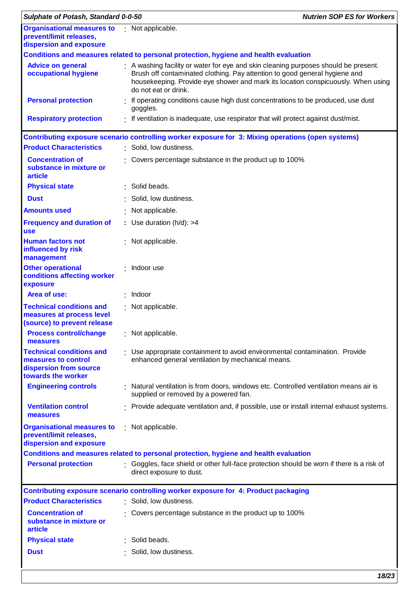| Sulphate of Potash, Standard 0-0-50                                                                     | <b>Nutrien SOP ES for Workers</b>                                                                                                                                                                                                                                           |
|---------------------------------------------------------------------------------------------------------|-----------------------------------------------------------------------------------------------------------------------------------------------------------------------------------------------------------------------------------------------------------------------------|
| <b>Organisational measures to</b> Not applicable.<br>prevent/limit releases,<br>dispersion and exposure |                                                                                                                                                                                                                                                                             |
|                                                                                                         | Conditions and measures related to personal protection, hygiene and health evaluation                                                                                                                                                                                       |
| <b>Advice on general</b><br>occupational hygiene                                                        | A washing facility or water for eye and skin cleaning purposes should be present.<br>Brush off contaminated clothing. Pay attention to good general hygiene and<br>housekeeping. Provide eye shower and mark its location conspicuously. When using<br>do not eat or drink. |
| <b>Personal protection</b>                                                                              | If operating conditions cause high dust concentrations to be produced, use dust<br>goggles.                                                                                                                                                                                 |
| <b>Respiratory protection</b>                                                                           | . If ventilation is inadequate, use respirator that will protect against dust/mist.                                                                                                                                                                                         |
|                                                                                                         | Contributing exposure scenario controlling worker exposure for 3: Mixing operations (open systems)                                                                                                                                                                          |
| <b>Product Characteristics</b>                                                                          | : Solid, low dustiness.                                                                                                                                                                                                                                                     |
| <b>Concentration of</b><br>substance in mixture or<br>article                                           | Covers percentage substance in the product up to 100%                                                                                                                                                                                                                       |
| <b>Physical state</b>                                                                                   | Solid beads.                                                                                                                                                                                                                                                                |
| <b>Dust</b>                                                                                             | Solid, low dustiness.                                                                                                                                                                                                                                                       |
| <b>Amounts used</b>                                                                                     | : Not applicable.                                                                                                                                                                                                                                                           |
| <b>Frequency and duration of</b><br><b>use</b>                                                          | : Use duration $(h/d)$ : >4                                                                                                                                                                                                                                                 |
| <b>Human factors not</b><br>influenced by risk<br>management                                            | : Not applicable.                                                                                                                                                                                                                                                           |
| <b>Other operational</b><br>conditions affecting worker<br>exposure                                     | $:$ Indoor use                                                                                                                                                                                                                                                              |
| Area of use:                                                                                            | Indoor                                                                                                                                                                                                                                                                      |
| <b>Technical conditions and</b><br>measures at process level<br>(source) to prevent release             | : Not applicable.                                                                                                                                                                                                                                                           |
| <b>Process control/change</b><br>measures                                                               | : Not applicable.                                                                                                                                                                                                                                                           |
| <b>Technical conditions and</b><br>measures to control<br>dispersion from source<br>towards the worker  | : Use appropriate containment to avoid environmental contamination. Provide<br>enhanced general ventilation by mechanical means.                                                                                                                                            |
| <b>Engineering controls</b>                                                                             | Natural ventilation is from doors, windows etc. Controlled ventilation means air is<br>supplied or removed by a powered fan.                                                                                                                                                |
| <b>Ventilation control</b><br>measures                                                                  | : Provide adequate ventilation and, if possible, use or install internal exhaust systems.                                                                                                                                                                                   |
| <b>Organisational measures to</b><br>prevent/limit releases,<br>dispersion and exposure                 | : Not applicable.                                                                                                                                                                                                                                                           |
|                                                                                                         | Conditions and measures related to personal protection, hygiene and health evaluation                                                                                                                                                                                       |
| <b>Personal protection</b>                                                                              | : Goggles, face shield or other full-face protection should be worn if there is a risk of<br>direct exposure to dust.                                                                                                                                                       |
|                                                                                                         | Contributing exposure scenario controlling worker exposure for 4: Product packaging                                                                                                                                                                                         |
| <b>Product Characteristics</b>                                                                          | : Solid, low dustiness.                                                                                                                                                                                                                                                     |
| <b>Concentration of</b><br>substance in mixture or<br>article                                           | Covers percentage substance in the product up to 100%                                                                                                                                                                                                                       |
| <b>Physical state</b>                                                                                   | Solid beads.                                                                                                                                                                                                                                                                |
| <b>Dust</b>                                                                                             | Solid, low dustiness.                                                                                                                                                                                                                                                       |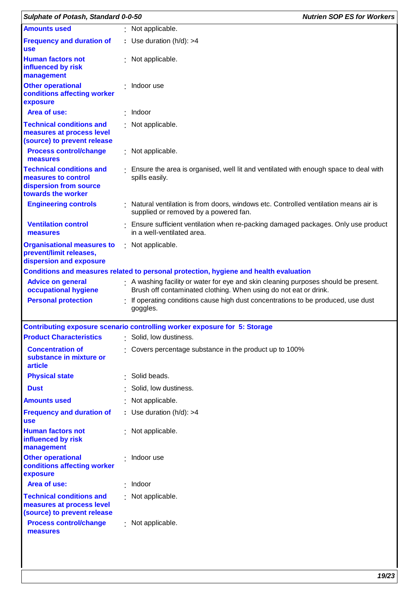| Sulphate of Potash, Standard 0-0-50                                                                    |                                                                                                                                                         | <b>Nutrien SOP ES for Workers</b> |
|--------------------------------------------------------------------------------------------------------|---------------------------------------------------------------------------------------------------------------------------------------------------------|-----------------------------------|
| <b>Amounts used</b>                                                                                    | : Not applicable.                                                                                                                                       |                                   |
| <b>Frequency and duration of</b><br><b>use</b>                                                         | : Use duration $(h/d)$ : >4                                                                                                                             |                                   |
| <b>Human factors not</b><br>influenced by risk<br>management                                           | : Not applicable.                                                                                                                                       |                                   |
| <b>Other operational</b><br>conditions affecting worker<br>exposure                                    | · Indoor use                                                                                                                                            |                                   |
| Area of use:                                                                                           | Indoor                                                                                                                                                  |                                   |
| <b>Technical conditions and</b><br>measures at process level<br>(source) to prevent release            | : Not applicable.                                                                                                                                       |                                   |
| <b>Process control/change</b><br>measures                                                              | : Not applicable.                                                                                                                                       |                                   |
| <b>Technical conditions and</b><br>measures to control<br>dispersion from source<br>towards the worker | : Ensure the area is organised, well lit and ventilated with enough space to deal with<br>spills easily.                                                |                                   |
| <b>Engineering controls</b>                                                                            | : Natural ventilation is from doors, windows etc. Controlled ventilation means air is<br>supplied or removed by a powered fan.                          |                                   |
| <b>Ventilation control</b><br>measures                                                                 | : Ensure sufficient ventilation when re-packing damaged packages. Only use product<br>in a well-ventilated area.                                        |                                   |
| <b>Organisational measures to</b><br>prevent/limit releases,<br>dispersion and exposure                | : Not applicable.                                                                                                                                       |                                   |
|                                                                                                        | Conditions and measures related to personal protection, hygiene and health evaluation                                                                   |                                   |
| <b>Advice on general</b><br>occupational hygiene                                                       | : A washing facility or water for eye and skin cleaning purposes should be present.<br>Brush off contaminated clothing. When using do not eat or drink. |                                   |
| <b>Personal protection</b>                                                                             | If operating conditions cause high dust concentrations to be produced, use dust<br>goggles.                                                             |                                   |
|                                                                                                        | Contributing exposure scenario controlling worker exposure for 5: Storage                                                                               |                                   |
| <b>Product Characteristics</b>                                                                         | : Solid, low dustiness.                                                                                                                                 |                                   |
| <b>Concentration of</b><br>substance in mixture or<br>article                                          | Covers percentage substance in the product up to 100%                                                                                                   |                                   |
| <b>Physical state</b>                                                                                  | : Solid beads.                                                                                                                                          |                                   |
| <b>Dust</b>                                                                                            | Solid, low dustiness.                                                                                                                                   |                                   |
| <b>Amounts used</b>                                                                                    | : Not applicable.                                                                                                                                       |                                   |
| <b>Frequency and duration of</b><br><b>use</b>                                                         | : Use duration $(h/d)$ : >4                                                                                                                             |                                   |
| <b>Human factors not</b><br>influenced by risk<br>management                                           | : Not applicable.                                                                                                                                       |                                   |
| <b>Other operational</b><br>conditions affecting worker<br>exposure                                    | : Indoor use                                                                                                                                            |                                   |
| Area of use:                                                                                           | Indoor                                                                                                                                                  |                                   |
| <b>Technical conditions and</b><br>measures at process level<br>(source) to prevent release            | : Not applicable.                                                                                                                                       |                                   |
| <b>Process control/change</b><br>measures                                                              | : Not applicable.                                                                                                                                       |                                   |
|                                                                                                        |                                                                                                                                                         |                                   |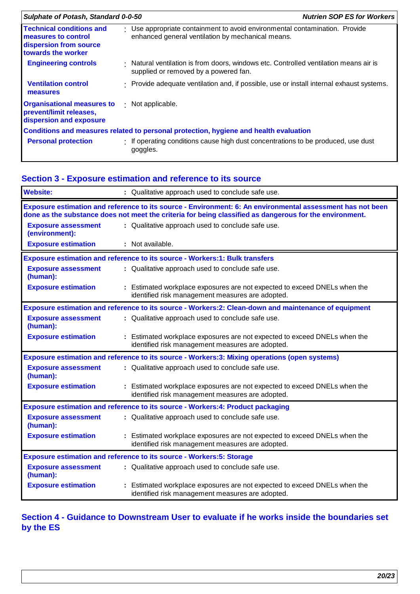| Sulphate of Potash, Standard 0-0-50                                                                    |  | <b>Nutrien SOP ES for Workers</b>                                                                                                |
|--------------------------------------------------------------------------------------------------------|--|----------------------------------------------------------------------------------------------------------------------------------|
| <b>Technical conditions and</b><br>measures to control<br>dispersion from source<br>towards the worker |  | : Use appropriate containment to avoid environmental contamination. Provide<br>enhanced general ventilation by mechanical means. |
| <b>Engineering controls</b>                                                                            |  | Natural ventilation is from doors, windows etc. Controlled ventilation means air is<br>supplied or removed by a powered fan.     |
| <b>Ventilation control</b><br>measures                                                                 |  | Provide adequate ventilation and, if possible, use or install internal exhaust systems.                                          |
| <b>Organisational measures to</b><br>prevent/limit releases,<br>dispersion and exposure                |  | $\cdot$ Not applicable.                                                                                                          |
|                                                                                                        |  | Conditions and measures related to personal protection, hygiene and health evaluation                                            |
| <b>Personal protection</b>                                                                             |  | f operating conditions cause high dust concentrations to be produced, use dust<br>goggles.                                       |

### **Section 3 - Exposure estimation and reference to its source**

| <b>Website:</b>                                                             |  | : Qualitative approach used to conclude safe use.                                                                                                                                                                     |
|-----------------------------------------------------------------------------|--|-----------------------------------------------------------------------------------------------------------------------------------------------------------------------------------------------------------------------|
|                                                                             |  | Exposure estimation and reference to its source - Environment: 6: An environmental assessment has not been<br>done as the substance does not meet the criteria for being classified as dangerous for the environment. |
| <b>Exposure assessment</b><br>(environment):                                |  | : Qualitative approach used to conclude safe use.                                                                                                                                                                     |
| <b>Exposure estimation</b>                                                  |  | : Not available.                                                                                                                                                                                                      |
|                                                                             |  | <b>Exposure estimation and reference to its source - Workers:1: Bulk transfers</b>                                                                                                                                    |
| <b>Exposure assessment</b><br>(human):                                      |  | : Qualitative approach used to conclude safe use.                                                                                                                                                                     |
| <b>Exposure estimation</b>                                                  |  | : Estimated workplace exposures are not expected to exceed DNELs when the<br>identified risk management measures are adopted.                                                                                         |
|                                                                             |  | Exposure estimation and reference to its source - Workers: 2: Clean-down and maintenance of equipment                                                                                                                 |
| <b>Exposure assessment</b><br>(human):                                      |  | : Qualitative approach used to conclude safe use.                                                                                                                                                                     |
| <b>Exposure estimation</b>                                                  |  | : Estimated workplace exposures are not expected to exceed DNELs when the<br>identified risk management measures are adopted.                                                                                         |
|                                                                             |  | Exposure estimation and reference to its source - Workers:3: Mixing operations (open systems)                                                                                                                         |
| <b>Exposure assessment</b><br>(human):                                      |  | : Qualitative approach used to conclude safe use.                                                                                                                                                                     |
| <b>Exposure estimation</b>                                                  |  | : Estimated workplace exposures are not expected to exceed DNELs when the<br>identified risk management measures are adopted.                                                                                         |
|                                                                             |  | <b>Exposure estimation and reference to its source - Workers:4: Product packaging</b>                                                                                                                                 |
| <b>Exposure assessment</b><br>(human):                                      |  | : Qualitative approach used to conclude safe use.                                                                                                                                                                     |
| <b>Exposure estimation</b>                                                  |  | : Estimated workplace exposures are not expected to exceed DNELs when the<br>identified risk management measures are adopted.                                                                                         |
| <b>Exposure estimation and reference to its source - Workers:5: Storage</b> |  |                                                                                                                                                                                                                       |
| <b>Exposure assessment</b><br>(human):                                      |  | : Qualitative approach used to conclude safe use.                                                                                                                                                                     |
| <b>Exposure estimation</b>                                                  |  | Estimated workplace exposures are not expected to exceed DNELs when the<br>identified risk management measures are adopted.                                                                                           |

### **Section 4 - Guidance to Downstream User to evaluate if he works inside the boundaries set by the ES**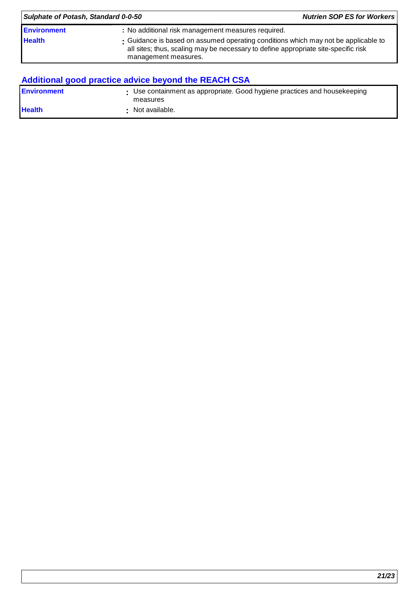| Sulphate of Potash, Standard 0-0-50 | <b>Nutrien SOP ES for Workers</b>                                                                                                                                                                |  |
|-------------------------------------|--------------------------------------------------------------------------------------------------------------------------------------------------------------------------------------------------|--|
| <b>Environment</b>                  | : No additional risk management measures required.                                                                                                                                               |  |
| <b>Health</b>                       | : Guidance is based on assumed operating conditions which may not be applicable to<br>all sites; thus, scaling may be necessary to define appropriate site-specific risk<br>management measures. |  |

# **Additional good practice advice beyond the REACH CSA**

| <b>Environment</b> | : Use containment as appropriate. Good hygiene practices and housekeeping<br>measures |
|--------------------|---------------------------------------------------------------------------------------|
| <b>Health</b>      | Not available.                                                                        |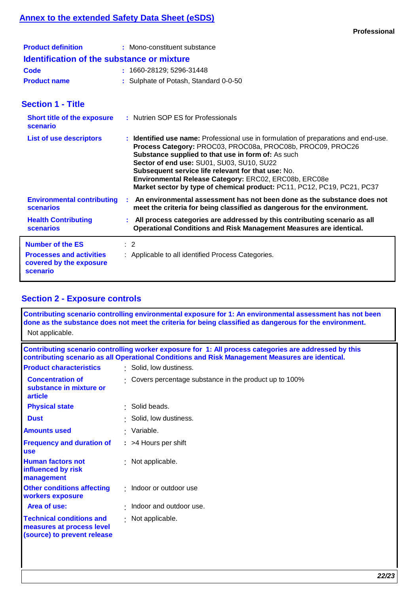### **Annex to the extended Safety Data Sheet (eSDS)**

| <b>Product definition</b>                         | : Mono-constituent substance          |
|---------------------------------------------------|---------------------------------------|
| <b>Identification of the substance or mixture</b> |                                       |
| Code                                              | $: 1660 - 28129; 5296 - 31448$        |
| <b>Product name</b>                               | : Sulphate of Potash, Standard 0-0-50 |

### **Section 1 - Title**

| <b>Short title of the exposure</b><br>scenario                                                    | : Nutrien SOP ES for Professionals                                                                                                                                                                                                                                                                                                                                                                                                             |
|---------------------------------------------------------------------------------------------------|------------------------------------------------------------------------------------------------------------------------------------------------------------------------------------------------------------------------------------------------------------------------------------------------------------------------------------------------------------------------------------------------------------------------------------------------|
| <b>List of use descriptors</b>                                                                    | : Identified use name: Professional use in formulation of preparations and end-use.<br>Process Category: PROC03, PROC08a, PROC08b, PROC09, PROC26<br>Substance supplied to that use in form of: As such<br>Sector of end use: SU01, SU03, SU10, SU22<br>Subsequent service life relevant for that use: No.<br>Environmental Release Category: ERC02, ERC08b, ERC08e<br>Market sector by type of chemical product: PC11, PC12, PC19, PC21, PC37 |
| <b>Environmental contributing</b><br><b>scenarios</b>                                             | An environmental assessment has not been done as the substance does not<br>meet the criteria for being classified as dangerous for the environment.                                                                                                                                                                                                                                                                                            |
| <b>Health Contributing</b><br><b>scenarios</b>                                                    | : All process categories are addressed by this contributing scenario as all<br>Operational Conditions and Risk Management Measures are identical.                                                                                                                                                                                                                                                                                              |
| <b>Number of the ES</b><br><b>Processes and activities</b><br>covered by the exposure<br>scenario | $\therefore$ 2<br>: Applicable to all identified Process Categories.                                                                                                                                                                                                                                                                                                                                                                           |

### **Section 2 - Exposure controls**

| Contributing scenario controlling environmental exposure for 1: An environmental assessment has not been<br>done as the substance does not meet the criteria for being classified as dangerous for the environment.<br>Not applicable. |                                                       |  |  |
|----------------------------------------------------------------------------------------------------------------------------------------------------------------------------------------------------------------------------------------|-------------------------------------------------------|--|--|
| Contributing scenario controlling worker exposure for 1: All process categories are addressed by this<br>contributing scenario as all Operational Conditions and Risk Management Measures are identical.                               |                                                       |  |  |
| <b>Product characteristics</b>                                                                                                                                                                                                         | : Solid, low dustiness.                               |  |  |
| <b>Concentration of</b><br>substance in mixture or<br>article                                                                                                                                                                          | Covers percentage substance in the product up to 100% |  |  |
| <b>Physical state</b>                                                                                                                                                                                                                  | · Solid beads.                                        |  |  |
| <b>Dust</b>                                                                                                                                                                                                                            | · Solid, low dustiness.                               |  |  |
| <b>Amounts used</b>                                                                                                                                                                                                                    | · Variable.                                           |  |  |
| <b>Frequency and duration of</b><br><b>use</b>                                                                                                                                                                                         | : >4 Hours per shift                                  |  |  |
| <b>Human factors not</b><br>influenced by risk<br>management                                                                                                                                                                           | : Not applicable.                                     |  |  |
| <b>Other conditions affecting</b><br>workers exposure                                                                                                                                                                                  | : Indoor or outdoor use                               |  |  |
| Area of use:                                                                                                                                                                                                                           | Indoor and outdoor use.                               |  |  |
| <b>Technical conditions and</b><br>measures at process level<br>(source) to prevent release                                                                                                                                            | : Not applicable.                                     |  |  |